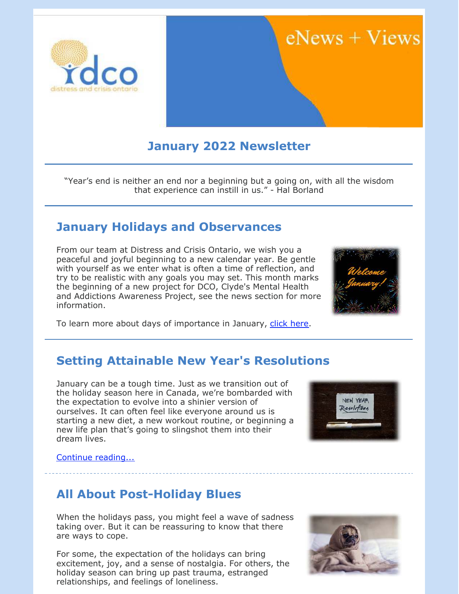

# $eNews + Views$

# **January 2022 Newsletter**

"Year's end is neither an end nor a beginning but a going on, with all the wisdom that experience can instill in us." - Hal Borland

## **January Holidays and Observances**

From our team at Distress and Crisis Ontario, we wish you a peaceful and joyful beginning to a new calendar year. Be gentle with yourself as we enter what is often a time of reflection, and try to be realistic with any goals you may set. This month marks the beginning of a new project for DCO, Clyde's Mental Health and Addictions Awareness Project, see the news section for more information.



To learn more about days of importance in January, [click here](https://www.wincalendar.com/Calendar-Canada/January-2022).

### **Setting Attainable New Year's Resolutions**

January can be a tough time. Just as we transition out of the holiday season here in Canada, we're bombarded with the expectation to evolve into a shinier version of ourselves. It can often feel like everyone around us is starting a new diet, a new workout routine, or beginning a new life plan that's going to slingshot them into their dream lives.



[Continue reading...](https://files.constantcontact.com/0fb3237d001/ae2f6ec2-fb0d-4f65-a85e-edcdb543200e.pdf)

### **All About Post-Holiday Blues**

When the holidays pass, you might feel a wave of sadness taking over. But it can be reassuring to know that there are ways to cope.

For some, the expectation of the holidays can bring excitement, joy, and a sense of nostalgia. For others, the holiday season can bring up past trauma, estranged relationships, and feelings of loneliness.

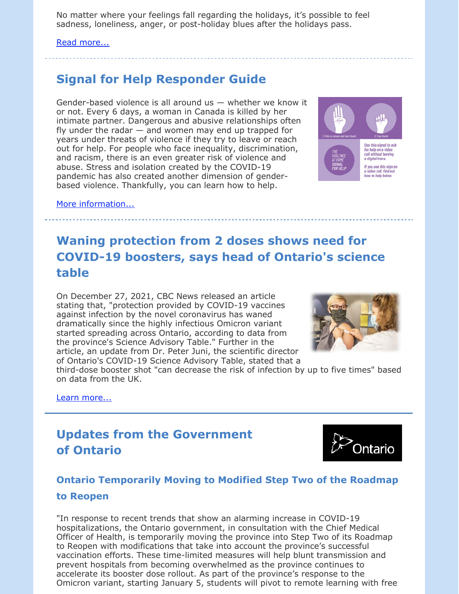No matter where your feelings fall regarding the holidays, it's possible to feel sadness, loneliness, anger, or post-holiday blues after the holidays pass.

#### [Read more...](https://files.constantcontact.com/0fb3237d001/c6305377-cc9d-443e-98d7-942212c8cf1d.pdf)

# **Signal for Help Responder Guide**

Gender-based violence is all around us — whether we know it or not. Every 6 days, a woman in Canada is killed by her intimate partner. Dangerous and abusive relationships often fly under the radar  $-$  and women may end up trapped for years under threats of violence if they try to leave or reach out for help. For people who face inequality, discrimination, and racism, there is an even greater risk of violence and abuse. Stress and isolation created by the COVID-19 pandemic has also created another dimension of genderbased violence. Thankfully, you can learn how to help.



[More information...](https://action.canadianwomen.org/signal-responder)

# **Waning protection from 2 doses shows need for COVID-19 boosters, says head of Ontario's science table**

On December 27, 2021, CBC News released an article stating that, "protection provided by COVID-19 vaccines against infection by the novel coronavirus has waned dramatically since the highly infectious Omicron variant started spreading across Ontario, according to data from the province's Science Advisory Table." Further in the article, an update from Dr. Peter Juni, the scientific director of Ontario's COVID-19 Science Advisory Table, stated that a



third-dose booster shot "can decrease the risk of infection by up to five times" based on data from the UK.

[Learn more...](https://www.cbc.ca/news/canada/toronto/ontario-covid19-dec-27-1.6298799?fbclid=IwAR2y0jHI83NMIzoI8ZhHMRnxKpfX7MsHAc6CbxUHM5sj87D9SUZ_Nb6MjXY)

# **Updates from the Government of Ontario**



### **Ontario Temporarily Moving to Modified Step Two of the Roadmap to Reopen**

"In response to recent trends that show an alarming increase in COVID-19 hospitalizations, the Ontario government, in consultation with the Chief Medical Officer of Health, is temporarily moving the province into Step Two of its Roadmap to Reopen with modifications that take into account the province's successful vaccination efforts. These time-limited measures will help blunt transmission and prevent hospitals from becoming overwhelmed as the province continues to accelerate its booster dose rollout. As part of the province's response to the Omicron variant, starting January 5, students will pivot to remote learning with free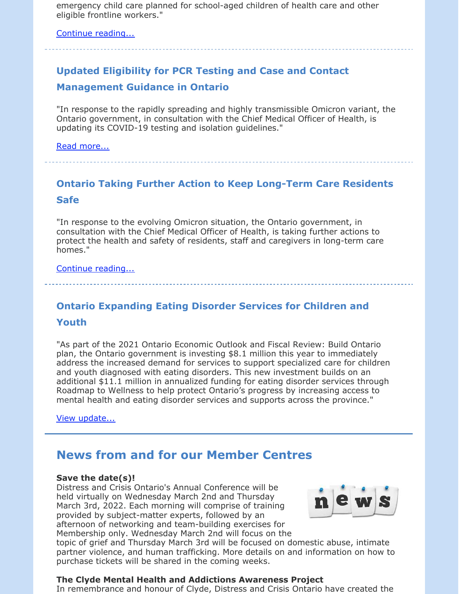emergency child care planned for school-aged children of health care and other eligible frontline workers."

[Continue reading...](https://news.ontario.ca/en/release/1001394/ontario-temporarily-moving-to-modified-step-two-of-the-roadmap-to-reopen)

# **Updated Eligibility for PCR Testing and Case and Contact Management Guidance in Ontario**

"In response to the rapidly spreading and highly transmissible Omicron variant, the Ontario government, in consultation with the Chief Medical Officer of Health, is updating its COVID-19 testing and isolation guidelines."

[Read more...](https://news.ontario.ca/en/backgrounder/1001387/updated-eligibility-for-pcr-testing-and-case-and-contact-management-guidance-in-ontario)

# **Ontario Taking Further Action to Keep Long-Term Care Residents Safe**

"In response to the evolving Omicron situation, the Ontario government, in consultation with the Chief Medical Officer of Health, is taking further actions to protect the health and safety of residents, staff and caregivers in long-term care homes."

[Continue reading...](https://news.ontario.ca/en/release/1001384/ontario-taking-further-action-to-keep-long-term-care-residents-safe)

# **Ontario Expanding Eating Disorder Services for Children and**

#### **Youth**

"As part of the 2021 Ontario Economic Outlook and Fiscal Review: Build Ontario plan, the Ontario government is investing \$8.1 million this year to immediately address the increased demand for services to support specialized care for children and youth diagnosed with eating disorders. This new investment builds on an additional \$11.1 million in annualized funding for eating disorder services through Roadmap to Wellness to help protect Ontario's progress by increasing access to mental health and eating disorder services and supports across the province."

[View update...](https://news.ontario.ca/en/release/1001272/ontario-expanding-eating-disorder-services-for-children-and-youth)

### **News from and for our Member Centres**

#### **Save the date(s)!**

Distress and Crisis Ontario's Annual Conference will be held virtually on Wednesday March 2nd and Thursday March 3rd, 2022. Each morning will comprise of training provided by subject-matter experts, followed by an afternoon of networking and team-building exercises for Membership only. Wednesday March 2nd will focus on the



topic of grief and Thursday March 3rd will be focused on domestic abuse, intimate partner violence, and human trafficking. More details on and information on how to purchase tickets will be shared in the coming weeks.

#### **The Clyde Mental Health and Addictions Awareness Project**

In remembrance and honour of Clyde, Distress and Crisis Ontario have created the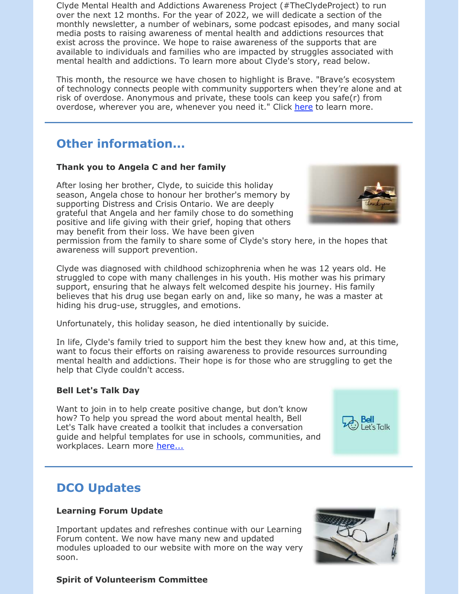Clyde Mental Health and Addictions Awareness Project (#TheClydeProject) to run over the next 12 months. For the year of 2022, we will dedicate a section of the monthly newsletter, a number of webinars, some podcast episodes, and many social media posts to raising awareness of mental health and addictions resources that exist across the province. We hope to raise awareness of the supports that are available to individuals and families who are impacted by struggles associated with mental health and addictions. To learn more about Clyde's story, read below.

This month, the resource we have chosen to highlight is Brave. "Brave's ecosystem of technology connects people with community supporters when they're alone and at risk of overdose. Anonymous and private, these tools can keep you safe(r) from overdose, wherever you are, whenever you need it." Click [here](https://www.brave.coop/) to learn more.

### **Other information...**

#### **Thank you to Angela C and her family**

After losing her brother, Clyde, to suicide this holiday season, Angela chose to honour her brother's memory by supporting Distress and Crisis Ontario. We are deeply grateful that Angela and her family chose to do something positive and life giving with their grief, hoping that others may benefit from their loss. We have been given



permission from the family to share some of Clyde's story here, in the hopes that awareness will support prevention.

Clyde was diagnosed with childhood schizophrenia when he was 12 years old. He struggled to cope with many challenges in his youth. His mother was his primary support, ensuring that he always felt welcomed despite his journey. His family believes that his drug use began early on and, like so many, he was a master at hiding his drug-use, struggles, and emotions.

Unfortunately, this holiday season, he died intentionally by suicide.

In life, Clyde's family tried to support him the best they knew how and, at this time, want to focus their efforts on raising awareness to provide resources surrounding mental health and addictions. Their hope is for those who are struggling to get the help that Clyde couldn't access.

#### **Bell Let's Talk Day**

Want to join in to help create positive change, but don't know how? To help you spread the word about mental health, Bell Let's Talk have created a toolkit that includes a conversation guide and helpful templates for use in schools, communities, and workplaces. Learn more [here...](https://letstalk.bell.ca/en/toolkit)

### **DCO Updates**

#### **Learning Forum Update**

Important updates and refreshes continue with our Learning Forum content. We now have many new and updated modules uploaded to our website with more on the way very soon.



Let's Talk

#### **Spirit of Volunteerism Committee**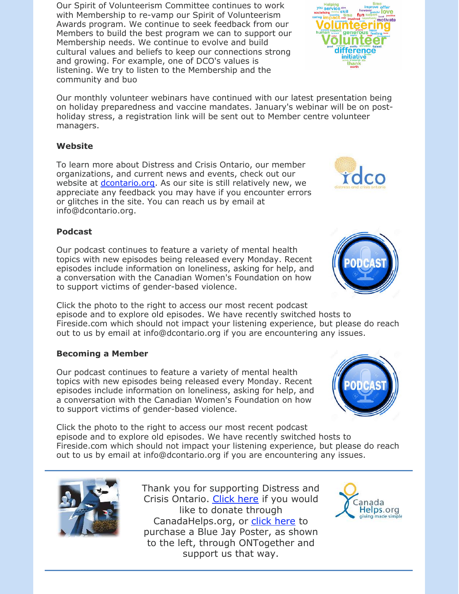Our Spirit of Volunteerism Committee continues to work with Membership to re-vamp our Spirit of Volunteerism Awards program. We continue to seek feedback from our Members to build the best program we can to support our Membership needs. We continue to evolve and build cultural values and beliefs to keep our connections strong and growing. For example, one of DCO's values is listening. We try to listen to the Membership and the community and buo

Our monthly volunteer webinars have continued with our latest presentation being on holiday preparedness and vaccine mandates. January's webinar will be on postholiday stress, a registration link will be sent out to Member centre volunteer managers.

#### **Website**

To learn more about Distress and Crisis Ontario, our member organizations, and current news and events, check out our website at *dcontario.org*. As our site is still relatively new, we appreciate any feedback you may have if you encounter errors or glitches in the site. You can reach us by email at info@dcontario.org.

#### **Podcast**

Our podcast continues to feature a variety of mental health topics with new episodes being released every Monday. Recent episodes include information on loneliness, asking for help, and a conversation with the Canadian Women's Foundation on how to support victims of gender-based violence.

Click the photo to the right to access our most recent podcast episode and to explore old episodes. We have recently switched hosts to Fireside.com which should not impact your listening experience, but please do reach out to us by email at info@dcontario.org if you are encountering any issues.

#### **Becoming a Member**

Our podcast continues to feature a variety of mental health topics with new episodes being released every Monday. Recent episodes include information on loneliness, asking for help, and a conversation with the Canadian Women's Foundation on how to support victims of gender-based violence.

Click the photo to the right to access our most recent podcast episode and to explore old episodes. We have recently switched hosts to Fireside.com which should not impact your listening experience, but please do reach out to us by email at info@dcontario.org if you are encountering any issues.

> Thank you for supporting Distress and Crisis Ontario. [Click here](https://www.canadahelps.org/en/dn/6317) if you would like to donate through CanadaHelps.org, or [click here](https://www.ontogether.org/resiliency-poster/p/bluejay) to purchase a Blue Jay Poster, as shown to the left, through ONTogether and support us that way.